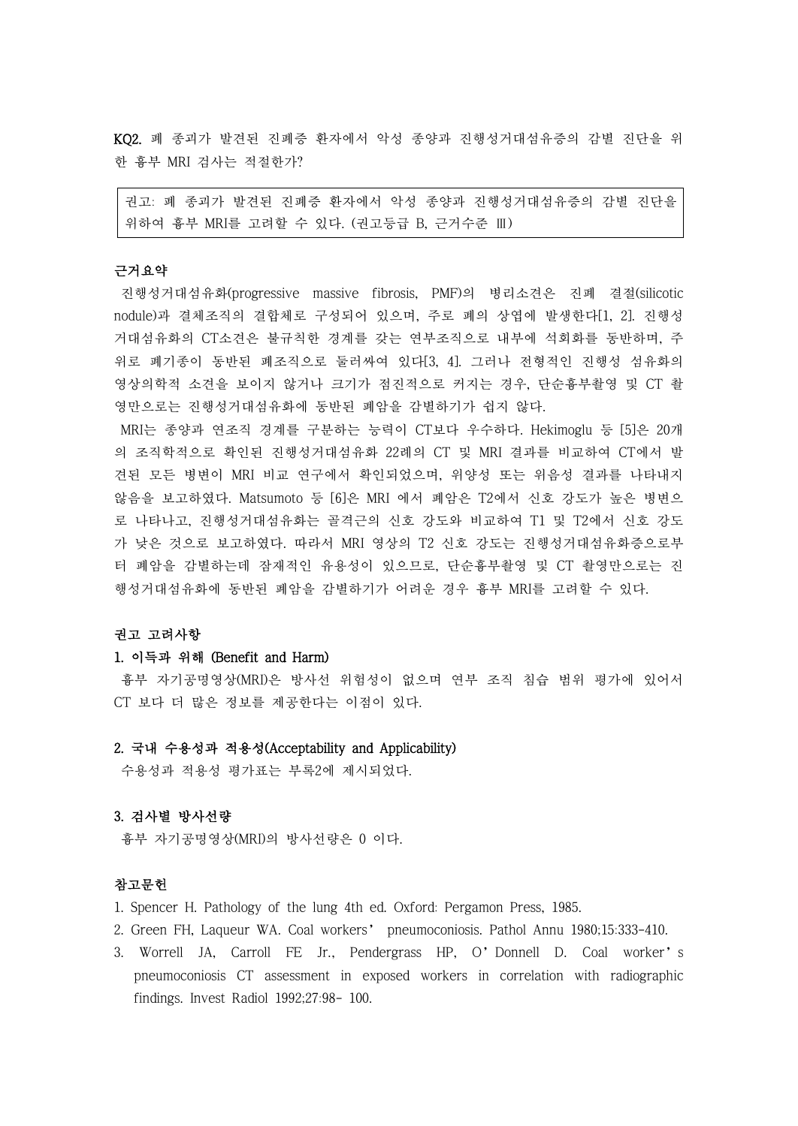KQ2. 폐 종괴가 발견된 진폐증 환자에서 악성 종양과 진행성거대섬유증의 감별 진단을 위 한 흉부 MRI 검사는 적절한가?

권고: 폐 종괴가 발견된 진폐증 환자에서 악성 종양과 진행성거대섬유증의 감별 진단을 위하여 흉부 MRI를 고려할 수 있다. (권고등급 B, 근거수준 Ⅲ)

## 근거요약

진행성거대섬유화(progressive massive fibrosis, PMF)의 병리소견은 진폐 결절(silicotic nodule)과 결체조직의 결합체로 구성되어 있으며, 주로 폐의 상엽에 발생한다[1, 2]. 진행성 거대섬유화의 CT소견은 불규칙한 경계를 갖는 연부조직으로 내부에 석회화를 동반하며, 주 위로 폐기종이 동반된 폐조직으로 둘러싸여 있다[3, 4]. 그러나 전형적인 진행성 섬유화의 영상의학적 소견을 보이지 않거나 크기가 점진적으로 커지는 경우, 단순흉부촬영 및 CT 촬 영만으로는 진행성거대섬유화에 동반된 폐암을 감별하기가 쉽지 않다.

MRI는 종양과 연조직 경계를 구분하는 능력이 CT보다 우수하다. Hekimoglu 등 [5]은 20개 의 조직학적으로 확인된 진행성거대섬유화 22례의 CT 및 MRI 결과를 비교하여 CT에서 발 견된 모든 병변이 MRI 비교 연구에서 확인되었으며, 위양성 또는 위음성 결과를 나타내지 않음을 보고하였다. Matsumoto 등 [6]은 MRI 에서 폐암은 T2에서 신호 강도가 높은 병변으 로 나타나고, 진행성거대섬유화는 골격근의 신호 강도와 비교하여 T1 및 T2에서 신호 강도 가 낮은 것으로 보고하였다. 따라서 MRI 영상의 T2 신호 강도는 진행성거대섬유화증으로부 터 폐암을 감별하는데 잠재적인 유용성이 있으므로, 단순흉부촬영 및 CT 촬영만으로는 진 행성거대섬유화에 동반된 폐암을 감별하기가 어려운 경우 흉부 MRI를 고려할 수 있다.

### 권고 고려사항

### 1. 이득과 위해 (Benefit and Harm)

흉부 자기공명영상(MRI)은 방사선 위험성이 없으며 연부 조직 침습 범위 평가에 있어서 CT 보다 더 많은 정보를 제공한다는 이점이 있다.

### 2. 국내 수용성과 적용성(Acceptability and Applicability)

수용성과 적용성 평가표는 부록2에 제시되었다.

# 3. 검사별 방사선량

흉부 자기공명영상(MRI)의 방사선량은 0 이다.

#### 참고문헌

- 1. Spencer H. Pathology of the lung 4th ed. Oxford: Pergamon Press, 1985.
- 2. Green FH, Laqueur WA. Coal workers' pneumoconiosis. Pathol Annu 1980;15:333-410.
- 3. Worrell JA, Carroll FE Jr., Pendergrass HP, O'Donnell D. Coal worker's pneumoconiosis CT assessment in exposed workers in correlation with radiographic findings. Invest Radiol 1992;27:98- 100.